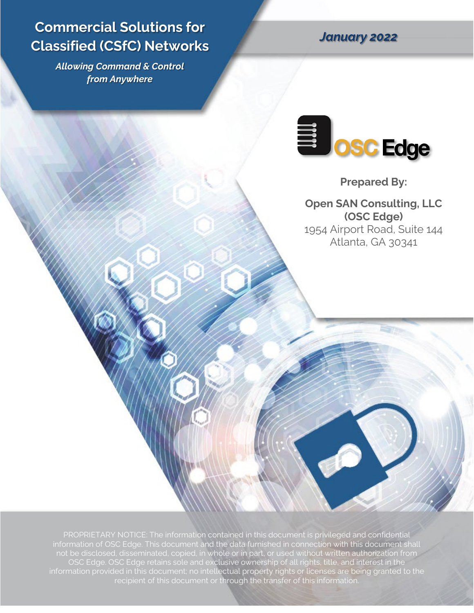# **Commercial Solutions for Classified (CSfC) Networks**

*Allowing Command & Control from Anywhere*

*January 2022*



**Prepared By:**

**Open SAN Consulting, LLC (OSC Edge)** 1954 Airport Road, Suite 144 Atlanta, GA 30341

PROPRIETARY NOTICE: The information contained in this document is privileged and confidential information of OSC Edge. This document and the data furnished in connection with this document shall not be disclosed, disseminated, copied, in whole or in part, or used without written authorization from OSC Edge. OSC Edge retains sole and exclusive ownership of all rights, title, and interest in the information provided in this document; no intellectual property rights or licenses are being granted to the recipient of this document or through the transfer of this information.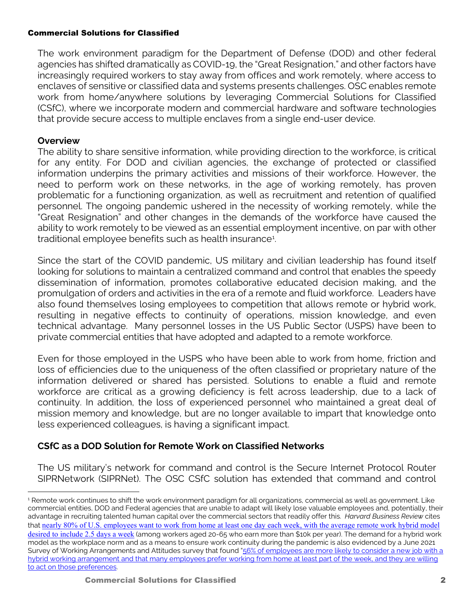The work environment paradigm for the Department of Defense (DOD) and other federal agencies has shifted dramatically as COVID-19, the "Great Resignation," and other factors have increasingly required workers to stay away from offices and work remotely, where access to enclaves of sensitive or classified data and systems presents challenges. OSC enables remote work from home/anywhere solutions by leveraging Commercial Solutions for Classified (CSfC), where we incorporate modern and commercial hardware and software technologies that provide secure access to multiple enclaves from a single end-user device.

## **Overview**

The ability to share sensitive information, while providing direction to the workforce, is critical for any entity. For DOD and civilian agencies, the exchange of protected or classified information underpins the primary activities and missions of their workforce. However, the need to perform work on these networks, in the age of working remotely, has proven problematic for a functioning organization, as well as recruitment and retention of qualified personnel. The ongoing pandemic ushered in the necessity of working remotely, while the "Great Resignation" and other changes in the demands of the workforce have caused the ability to work remotely to be viewed as an essential employment incentive, on par with other traditional employee benefits such as health insurance<sup>[1](#page-1-0)</sup>. .

Since the start of the COVID pandemic, US military and civilian leadership has found itself looking for solutions to maintain a centralized command and control that enables the speedy dissemination of information, promotes collaborative educated decision making, and the promulgation of orders and activities in the era of a remote and fluid workforce. Leaders have also found themselves losing employees to competition that allows remote or hybrid work, resulting in negative effects to continuity of operations, mission knowledge, and even technical advantage. Many personnel losses in the US Public Sector (USPS) have been to private commercial entities that have adopted and adapted to a remote workforce.

Even for those employed in the USPS who have been able to work from home, friction and loss of efficiencies due to the uniqueness of the often classified or proprietary nature of the information delivered or shared has persisted. Solutions to enable a fluid and remote workforce are critical as a growing deficiency is felt across leadership, due to a lack of continuity. In addition, the loss of experienced personnel who maintained a great deal of mission memory and knowledge, but are no longer available to impart that knowledge onto less experienced colleagues, is having a significant impact.

# **CSfC as a DOD Solution for Remote Work on Classified Networks**

The US military's network for command and control is the Secure Internet Protocol Router SIPRNetwork (SIPRNet). The OSC CSfC solution has extended that command and control

<span id="page-1-0"></span><sup>&</sup>lt;sup>1</sup> Remote work continues to shift the work environment paradigm for all organizations, commercial as well as government. Like commercial entities, DOD and Federal agencies that are unable to adapt will likely lose valuable employees and, potentially, their advantage in recruiting talented human capital over the commercial sectors that readily offer this. *Harvard Business Review* cites that [nearly 80% of U.S. employees want to work from home at least one day each week, with the average remote work hybrid model](https://hbr.org/2021/08/dont-force-people-to-come-back-to-the-office-full-time)  [desired to include 2.5 days a week](https://hbr.org/2021/08/dont-force-people-to-come-back-to-the-office-full-time) (among workers aged 20-65 who earn more than \$10k per year). The demand for a hybrid work model as the workplace norm and as a means to ensure work continuity during the pandemic is also evidenced by a June 2021 Survey of Working Arrangements and Attitudes survey that found "56% of employees are more likely to consider a new job with a [hybrid working arrangement and that many employees prefer working from home at least part of the week, and they are willing](https://voxeu.org/article/let-me-work-home-or-i-will-find-another-job)  [to act on those preferences.](https://voxeu.org/article/let-me-work-home-or-i-will-find-another-job)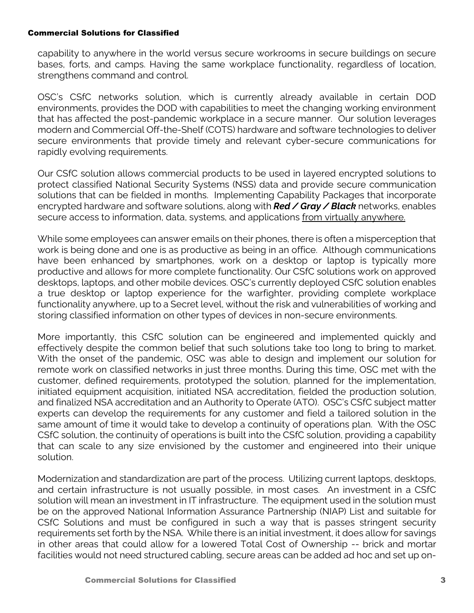capability to anywhere in the world versus secure workrooms in secure buildings on secure bases, forts, and camps. Having the same workplace functionality, regardless of location, strengthens command and control.

OSC's CSfC networks solution, which is currently already available in certain DOD environments, provides the DOD with capabilities to meet the changing working environment that has affected the post-pandemic workplace in a secure manner. Our solution leverages modern and Commercial Off-the-Shelf (COTS) hardware and software technologies to deliver secure environments that provide timely and relevant cyber-secure communications for rapidly evolving requirements.

Our CSfC solution allows commercial products to be used in layered encrypted solutions to protect classified National Security Systems (NSS) data and provide secure communication solutions that can be fielded in months. Implementing Capability Packages that incorporate encrypted hardware and software solutions, along with *Red / Gray / Black* networks, enables secure access to information, data, systems, and applications from virtually anywhere.

While some employees can answer emails on their phones, there is often a misperception that work is being done and one is as productive as being in an office. Although communications have been enhanced by smartphones, work on a desktop or laptop is typically more productive and allows for more complete functionality. Our CSfC solutions work on approved desktops, laptops, and other mobile devices. OSC's currently deployed CSfC solution enables a true desktop or laptop experience for the warfighter, providing complete workplace functionality anywhere, up to a Secret level, without the risk and vulnerabilities of working and storing classified information on other types of devices in non-secure environments.

More importantly, this CSfC solution can be engineered and implemented quickly and effectively despite the common belief that such solutions take too long to bring to market. With the onset of the pandemic, OSC was able to design and implement our solution for remote work on classified networks in just three months. During this time, OSC met with the customer, defined requirements, prototyped the solution, planned for the implementation, initiated equipment acquisition, initiated NSA accreditation, fielded the production solution, and finalized NSA accreditation and an Authority to Operate (ATO). OSC's CSfC subject matter experts can develop the requirements for any customer and field a tailored solution in the same amount of time it would take to develop a continuity of operations plan. With the OSC CSfC solution, the continuity of operations is built into the CSfC solution, providing a capability that can scale to any size envisioned by the customer and engineered into their unique solution.

Modernization and standardization are part of the process. Utilizing current laptops, desktops, and certain infrastructure is not usually possible, in most cases. An investment in a CSfC solution will mean an investment in IT infrastructure. The equipment used in the solution must be on the approved National Information Assurance Partnership (NIAP) List and suitable for CSfC Solutions and must be configured in such a way that is passes stringent security requirements set forth by the NSA. While there is an initial investment, it does allow for savings in other areas that could allow for a lowered Total Cost of Ownership -- brick and mortar facilities would not need structured cabling, secure areas can be added ad hoc and set up on-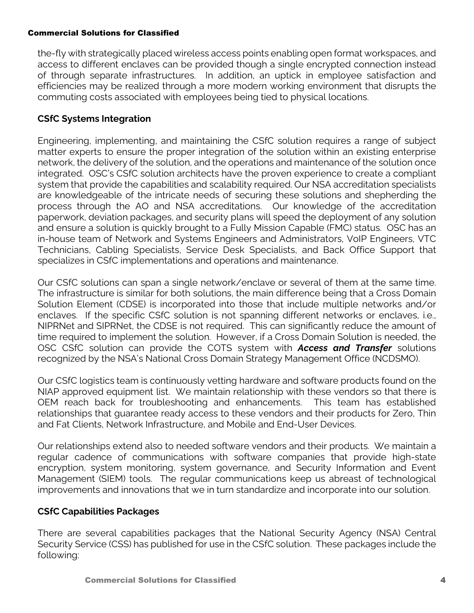the-fly with strategically placed wireless access points enabling open format workspaces, and access to different enclaves can be provided though a single encrypted connection instead of through separate infrastructures. In addition, an uptick in employee satisfaction and efficiencies may be realized through a more modern working environment that disrupts the commuting costs associated with employees being tied to physical locations.

# **CSfC Systems Integration**

Engineering, implementing, and maintaining the CSfC solution requires a range of subject matter experts to ensure the proper integration of the solution within an existing enterprise network, the delivery of the solution, and the operations and maintenance of the solution once integrated. OSC's CSfC solution architects have the proven experience to create a compliant system that provide the capabilities and scalability required. Our NSA accreditation specialists are knowledgeable of the intricate needs of securing these solutions and shepherding the process through the AO and NSA accreditations. Our knowledge of the accreditation paperwork, deviation packages, and security plans will speed the deployment of any solution and ensure a solution is quickly brought to a Fully Mission Capable (FMC) status. OSC has an in-house team of Network and Systems Engineers and Administrators, VoIP Engineers, VTC Technicians, Cabling Specialists, Service Desk Specialists, and Back Office Support that specializes in CSfC implementations and operations and maintenance.

Our CSfC solutions can span a single network/enclave or several of them at the same time. The infrastructure is similar for both solutions, the main difference being that a Cross Domain Solution Element (CDSE) is incorporated into those that include multiple networks and/or enclaves. If the specific CSfC solution is not spanning different networks or enclaves, i.e., NIPRNet and SIPRNet, the CDSE is not required. This can significantly reduce the amount of time required to implement the solution. However, if a Cross Domain Solution is needed, the OSC CSfC solution can provide the COTS system with *Access and Transfer* solutions recognized by the NSA's National Cross Domain Strategy Management Office (NCDSMO).

Our CSfC logistics team is continuously vetting hardware and software products found on the NIAP approved equipment list. We maintain relationship with these vendors so that there is OEM reach back for troubleshooting and enhancements. This team has established relationships that guarantee ready access to these vendors and their products for Zero, Thin and Fat Clients, Network Infrastructure, and Mobile and End-User Devices.

Our relationships extend also to needed software vendors and their products. We maintain a regular cadence of communications with software companies that provide high-state encryption, system monitoring, system governance, and Security Information and Event Management (SIEM) tools. The regular communications keep us abreast of technological improvements and innovations that we in turn standardize and incorporate into our solution.

# **CSfC Capabilities Packages**

There are several capabilities packages that the National Security Agency (NSA) Central Security Service (CSS) has published for use in the CSfC solution. These packages include the following: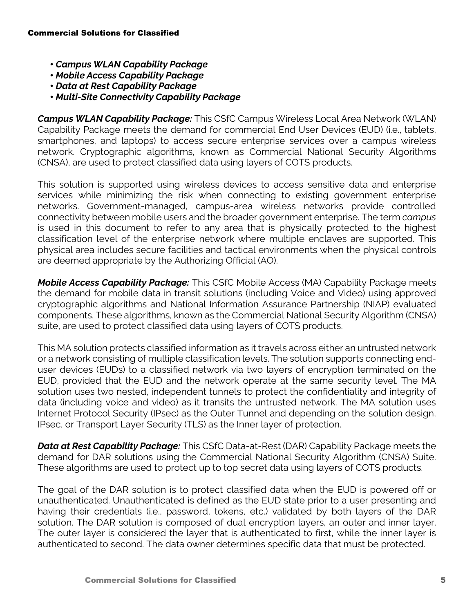- *Campus WLAN Capability Package*
- *Mobile Access Capability Package*
- *Data at Rest Capability Package*
- *Multi-Site Connectivity Capability Package*

*Campus WLAN Capability Package:* This CSfC Campus Wireless Local Area Network (WLAN) Capability Package meets the demand for commercial End User Devices (EUD) (i.e., tablets, smartphones, and laptops) to access secure enterprise services over a campus wireless network. Cryptographic algorithms, known as Commercial National Security Algorithms (CNSA), are used to protect classified data using layers of COTS products.

This solution is supported using wireless devices to access sensitive data and enterprise services while minimizing the risk when connecting to existing government enterprise networks. Government-managed, campus-area wireless networks provide controlled connectivity between mobile users and the broader government enterprise. The term *campus* is used in this document to refer to any area that is physically protected to the highest classification level of the enterprise network where multiple enclaves are supported. This physical area includes secure facilities and tactical environments when the physical controls are deemed appropriate by the Authorizing Official (AO).

*Mobile Access Capability Package:* This CSfC Mobile Access (MA) Capability Package meets the demand for mobile data in transit solutions (including Voice and Video) using approved cryptographic algorithms and National Information Assurance Partnership (NIAP) evaluated components. These algorithms, known as the Commercial National Security Algorithm (CNSA) suite, are used to protect classified data using layers of COTS products.

This MA solution protects classified information as it travels across either an untrusted network or a network consisting of multiple classification levels. The solution supports connecting enduser devices (EUDs) to a classified network via two layers of encryption terminated on the EUD, provided that the EUD and the network operate at the same security level. The MA solution uses two nested, independent tunnels to protect the confidentiality and integrity of data (including voice and video) as it transits the untrusted network. The MA solution uses Internet Protocol Security (IPsec) as the Outer Tunnel and depending on the solution design, IPsec, or Transport Layer Security (TLS) as the Inner layer of protection.

*Data at Rest Capability Package:* This CSfC Data-at-Rest (DAR) Capability Package meets the demand for DAR solutions using the Commercial National Security Algorithm (CNSA) Suite. These algorithms are used to protect up to top secret data using layers of COTS products.

The goal of the DAR solution is to protect classified data when the EUD is powered off or unauthenticated. Unauthenticated is defined as the EUD state prior to a user presenting and having their credentials (i.e., password, tokens, etc.) validated by both layers of the DAR solution. The DAR solution is composed of dual encryption layers, an outer and inner layer. The outer layer is considered the layer that is authenticated to first, while the inner layer is authenticated to second. The data owner determines specific data that must be protected.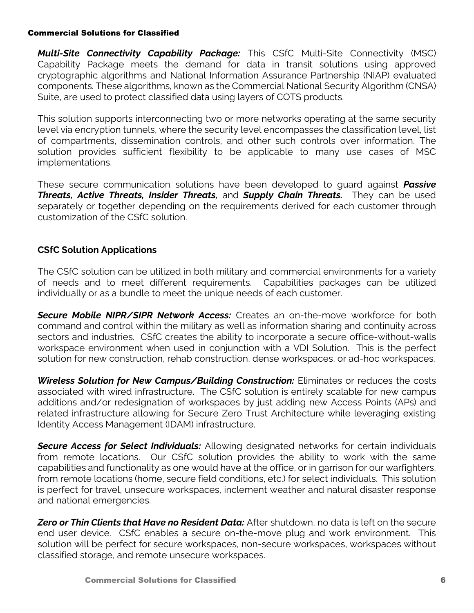*Multi-Site Connectivity Capability Package:* This CSfC Multi-Site Connectivity (MSC) Capability Package meets the demand for data in transit solutions using approved cryptographic algorithms and National Information Assurance Partnership (NIAP) evaluated components. These algorithms, known as the Commercial National Security Algorithm (CNSA) Suite, are used to protect classified data using layers of COTS products.

This solution supports interconnecting two or more networks operating at the same security level via encryption tunnels, where the security level encompasses the classification level, list of compartments, dissemination controls, and other such controls over information. The solution provides sufficient flexibility to be applicable to many use cases of MSC implementations.

These secure communication solutions have been developed to guard against *Passive Threats, Active Threats, Insider Threats,* and *Supply Chain Threats.* They can be used separately or together depending on the requirements derived for each customer through customization of the CSfC solution.

## **CSfC Solution Applications**

The CSfC solution can be utilized in both military and commercial environments for a variety of needs and to meet different requirements. Capabilities packages can be utilized individually or as a bundle to meet the unique needs of each customer.

*Secure Mobile NIPR/SIPR Network Access:* Creates an on-the-move workforce for both command and control within the military as well as information sharing and continuity across sectors and industries. CSfC creates the ability to incorporate a secure office-without-walls workspace environment when used in conjunction with a VDI Solution. This is the perfect solution for new construction, rehab construction, dense workspaces, or ad-hoc workspaces.

*Wireless Solution for New Campus/Building Construction:* Eliminates or reduces the costs associated with wired infrastructure. The CSfC solution is entirely scalable for new campus additions and/or redesignation of workspaces by just adding new Access Points (APs) and related infrastructure allowing for Secure Zero Trust Architecture while leveraging existing Identity Access Management (IDAM) infrastructure.

*Secure Access for Select Individuals:* Allowing designated networks for certain individuals from remote locations. Our CSfC solution provides the ability to work with the same capabilities and functionality as one would have at the office, or in garrison for our warfighters, from remote locations (home, secure field conditions, etc.) for select individuals. This solution is perfect for travel, unsecure workspaces, inclement weather and natural disaster response and national emergencies.

*Zero or Thin Clients that Have no Resident Data:* After shutdown, no data is left on the secure end user device. CSfC enables a secure on-the-move plug and work environment. This solution will be perfect for secure workspaces, non-secure workspaces, workspaces without classified storage, and remote unsecure workspaces.